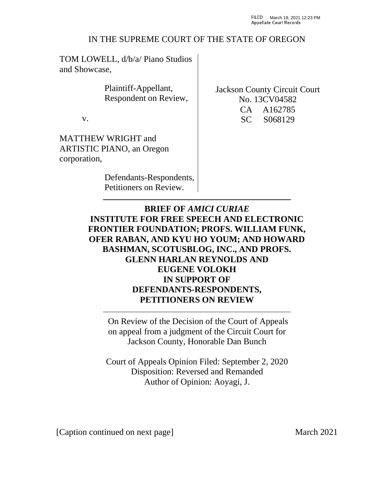## IN THE SUPREME COURT OF THE STATE OF OREGON

TOM LOWELL, d/b/a/ Piano Studios and Showcase,

> Plaintiff-Appellant, Respondent on Review,

v.

MATTHEW WRIGHT and ARTISTIC PIANO, an Oregon corporation,

> Defendants-Respondents, Petitioners on Review.

Jackson County Circuit Court No. 13CV04582 CA A162785 SC S068129

**BRIEF OF** *AMICI CURIAE*  **INSTITUTE FOR FREE SPEECH AND ELECTRONIC FRONTIER FOUNDATION; PROFS. WILLIAM FUNK, OFER RABAN, AND KYU HO YOUM; AND HOWARD BASHMAN, SCOTUSBLOG, INC., AND PROFS. GLENN HARLAN REYNOLDS AND EUGENE VOLOKH IN SUPPORT OF DEFENDANTS-RESPONDENTS, PETITIONERS ON REVIEW**

On Review of the Decision of the Court of Appeals on appeal from a judgment of the Circuit Court for Jackson County, Honorable Dan Bunch

Court of Appeals Opinion Filed: September 2, 2020 Disposition: Reversed and Remanded Author of Opinion: Aoyagi, J.

[Caption continued on next page] March 2021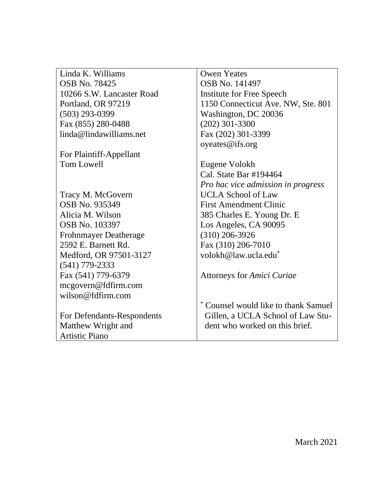Linda K. Williams OSB No. 78425 10266 S.W. Lancaster Road Portland, OR 97219 (503) 293-0399 Fax (855) 280-0488 linda@lindawilliams.net

For Plaintiff-Appellant Tom Lowell

Tracy M. McGovern OSB No. 935349 Alicia M. Wilson OSB No. 103397 Frohnmayer Deatherage 2592 E. Barnett Rd. Medford, OR 97501-3127 (541) 779-2333 Fax (541) 779-6379 mcgovern@fdfirm.com wilson@fdfirm.com

For Defendants-Respondents Matthew Wright and Artistic Piano

Owen Yeates OSB No. 141497 Institute for Free Speech 1150 Connecticut Ave. NW, Ste. 801 Washington, DC 20036 (202) 301-3300 Fax (202) 301-3399 oyeates@ifs.org

Eugene Volokh Cal. State Bar #194464 *Pro hac vice admission in progress* UCLA School of Law First Amendment Clinic 385 Charles E. Young Dr. E Los Angeles, CA 90095 (310) 206-3926 Fax (310) 206-7010 volokh@law.ucla.edu\*

Attorneys for *Amici Curiae*

\* Counsel would like to thank Samuel Gillen, a UCLA School of Law Student who worked on this brief.

March 2021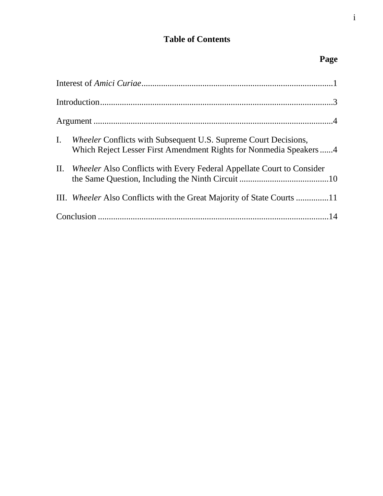# **Table of Contents**

# **Page**

| I. | <i>Wheeler</i> Conflicts with Subsequent U.S. Supreme Court Decisions,<br>Which Reject Lesser First Amendment Rights for Nonmedia Speakers4 |
|----|---------------------------------------------------------------------------------------------------------------------------------------------|
|    | II. <i>Wheeler Also Conflicts with Every Federal Appellate Court to Consider</i>                                                            |
|    | III. <i>Wheeler</i> Also Conflicts with the Great Majority of State Courts 11                                                               |
|    |                                                                                                                                             |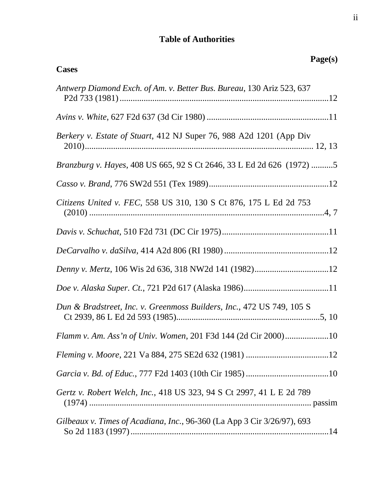# **Table of Authorities**

| Page(s)<br><b>Cases</b>                                                 |
|-------------------------------------------------------------------------|
| Antwerp Diamond Exch. of Am. v. Better Bus. Bureau, 130 Ariz 523, 637   |
|                                                                         |
| Berkery v. Estate of Stuart, 412 NJ Super 76, 988 A2d 1201 (App Div     |
| Branzburg v. Hayes, 408 US 665, 92 S Ct 2646, 33 L Ed 2d 626 (1972) 5   |
|                                                                         |
| Citizens United v. FEC, 558 US 310, 130 S Ct 876, 175 L Ed 2d 753       |
|                                                                         |
|                                                                         |
|                                                                         |
|                                                                         |
| Dun & Bradstreet, Inc. v. Greenmoss Builders, Inc., 472 US 749, 105 S   |
| Flamm v. Am. Ass'n of Univ. Women, 201 F3d 144 (2d Cir 2000)10          |
|                                                                         |
|                                                                         |
| Gertz v. Robert Welch, Inc., 418 US 323, 94 S Ct 2997, 41 L E 2d 789    |
| Gilbeaux v. Times of Acadiana, Inc., 96-360 (La App 3 Cir 3/26/97), 693 |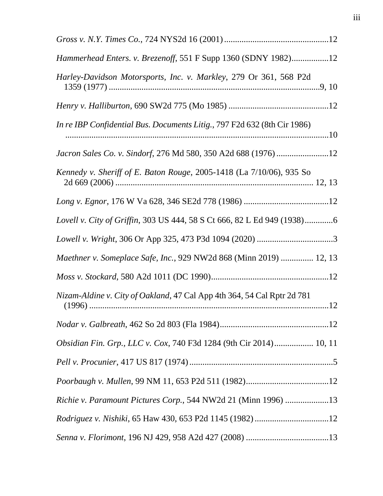| Hammerhead Enters. v. Brezenoff, 551 F Supp 1360 (SDNY 1982)12           |  |
|--------------------------------------------------------------------------|--|
| Harley-Davidson Motorsports, Inc. v. Markley, 279 Or 361, 568 P2d        |  |
|                                                                          |  |
| In re IBP Confidential Bus. Documents Litig., 797 F2d 632 (8th Cir 1986) |  |
| Jacron Sales Co. v. Sindorf, 276 Md 580, 350 A2d 688 (1976)12            |  |
| Kennedy v. Sheriff of E. Baton Rouge, 2005-1418 (La 7/10/06), 935 So     |  |
|                                                                          |  |
| Lovell v. City of Griffin, 303 US 444, 58 S Ct 666, 82 L Ed 949 (1938)6  |  |
|                                                                          |  |
| Maethner v. Someplace Safe, Inc., 929 NW2d 868 (Minn 2019)  12, 13       |  |
|                                                                          |  |
| Nizam-Aldine v. City of Oakland, 47 Cal App 4th 364, 54 Cal Rptr 2d 781  |  |
|                                                                          |  |
| Obsidian Fin. Grp., LLC v. Cox, 740 F3d 1284 (9th Cir 2014) 10, 11       |  |
|                                                                          |  |
|                                                                          |  |
| Richie v. Paramount Pictures Corp., 544 NW2d 21 (Minn 1996) 13           |  |
|                                                                          |  |
|                                                                          |  |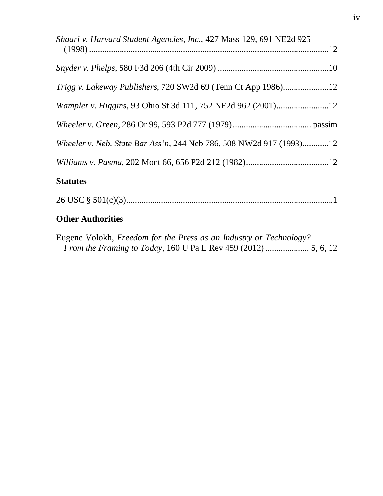| Shaari v. Harvard Student Agencies, Inc., 427 Mass 129, 691 NE2d 925 |  |
|----------------------------------------------------------------------|--|
|                                                                      |  |
|                                                                      |  |
| <i>Trigg v. Lakeway Publishers, 720 SW2d 69 (Tenn Ct App 1986)</i>   |  |
|                                                                      |  |
|                                                                      |  |
| Wheeler v. Neb. State Bar Ass'n, 244 Neb 786, 508 NW2d 917 (1993)12  |  |
|                                                                      |  |
| <b>Statutes</b>                                                      |  |

26 USC § 501(c)(3)............................................................................................... 1

# **Other Authorities**

Eugene Volokh, *Freedom for the Press as an Industry or Technology? From the Framing to Today*, 160 U Pa L Rev 459 (2012) .................... 5, 6, 12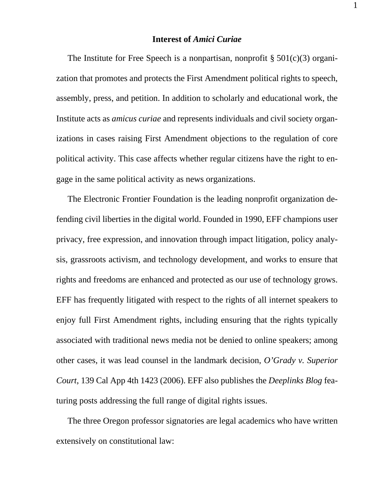#### **Interest of** *Amici Curiae*

The Institute for Free Speech is a nonpartisan, nonprofit  $\S 501(c)(3)$  organization that promotes and protects the First Amendment political rights to speech, assembly, press, and petition. In addition to scholarly and educational work, the Institute acts as *amicus curiae* and represents individuals and civil society organizations in cases raising First Amendment objections to the regulation of core political activity. This case affects whether regular citizens have the right to engage in the same political activity as news organizations.

The Electronic Frontier Foundation is the leading nonprofit organization defending civil liberties in the digital world. Founded in 1990, EFF champions user privacy, free expression, and innovation through impact litigation, policy analysis, grassroots activism, and technology development, and works to ensure that rights and freedoms are enhanced and protected as our use of technology grows. EFF has frequently litigated with respect to the rights of all internet speakers to enjoy full First Amendment rights, including ensuring that the rights typically associated with traditional news media not be denied to online speakers; among other cases, it was lead counsel in the landmark decision, *O'Grady v. Superior Court*, 139 Cal App 4th 1423 (2006). EFF also publishes the *Deeplinks Blog* featuring posts addressing the full range of digital rights issues.

The three Oregon professor signatories are legal academics who have written extensively on constitutional law:

1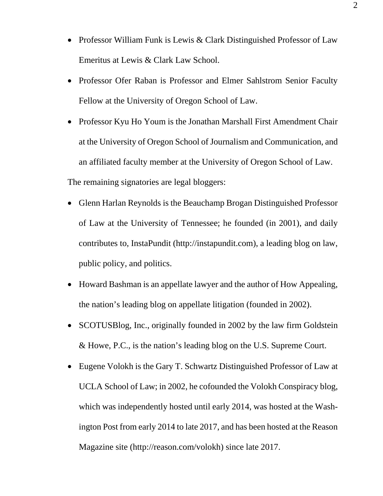- Professor William Funk is Lewis & Clark Distinguished Professor of Law Emeritus at Lewis & Clark Law School.
- Professor Ofer Raban is Professor and Elmer Sahlstrom Senior Faculty Fellow at the University of Oregon School of Law.
- Professor Kyu Ho Youm is the Jonathan Marshall First Amendment Chair at the University of Oregon School of Journalism and Communication, and an affiliated faculty member at the University of Oregon School of Law.

The remaining signatories are legal bloggers:

- Glenn Harlan Reynolds is the Beauchamp Brogan Distinguished Professor of Law at the University of Tennessee; he founded (in 2001), and daily contributes to, InstaPundit (http://instapundit.com), a leading blog on law, public policy, and politics.
- Howard Bashman is an appellate lawyer and the author of How Appealing, the nation's leading blog on appellate litigation (founded in 2002).
- SCOTUSBlog, Inc., originally founded in 2002 by the law firm Goldstein & Howe, P.C., is the nation's leading blog on the U.S. Supreme Court.
- Eugene Volokh is the Gary T. Schwartz Distinguished Professor of Law at UCLA School of Law; in 2002, he cofounded the Volokh Conspiracy blog, which was independently hosted until early 2014, was hosted at the Washington Post from early 2014 to late 2017, and has been hosted at the Reason Magazine site (http://reason.com/volokh) since late 2017.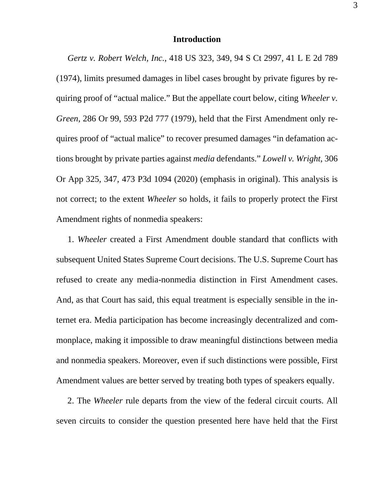#### **Introduction**

*Gertz v. Robert Welch, Inc.*, 418 US 323, 349, 94 S Ct 2997, 41 L E 2d 789 (1974), limits presumed damages in libel cases brought by private figures by requiring proof of "actual malice." But the appellate court below, citing *Wheeler v. Green*, 286 Or 99, 593 P2d 777 (1979), held that the First Amendment only requires proof of "actual malice" to recover presumed damages "in defamation actions brought by private parties against *media* defendants." *Lowell v. Wright*, 306 Or App 325, 347, 473 P3d 1094 (2020) (emphasis in original). This analysis is not correct; to the extent *Wheeler* so holds, it fails to properly protect the First Amendment rights of nonmedia speakers:

1. *Wheeler* created a First Amendment double standard that conflicts with subsequent United States Supreme Court decisions. The U.S. Supreme Court has refused to create any media-nonmedia distinction in First Amendment cases. And, as that Court has said, this equal treatment is especially sensible in the internet era. Media participation has become increasingly decentralized and commonplace, making it impossible to draw meaningful distinctions between media and nonmedia speakers. Moreover, even if such distinctions were possible, First Amendment values are better served by treating both types of speakers equally.

2. The *Wheeler* rule departs from the view of the federal circuit courts. All seven circuits to consider the question presented here have held that the First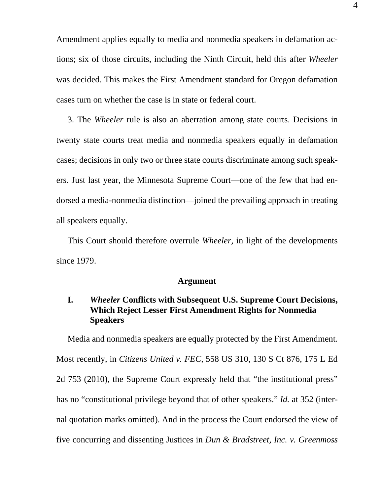Amendment applies equally to media and nonmedia speakers in defamation actions; six of those circuits, including the Ninth Circuit, held this after *Wheeler* was decided. This makes the First Amendment standard for Oregon defamation cases turn on whether the case is in state or federal court.

3. The *Wheeler* rule is also an aberration among state courts. Decisions in twenty state courts treat media and nonmedia speakers equally in defamation cases; decisions in only two or three state courts discriminate among such speakers. Just last year, the Minnesota Supreme Court—one of the few that had endorsed a media-nonmedia distinction—joined the prevailing approach in treating all speakers equally.

This Court should therefore overrule *Wheeler*, in light of the developments since 1979.

#### **Argument**

### **I.** *Wheeler* **Conflicts with Subsequent U.S. Supreme Court Decisions, Which Reject Lesser First Amendment Rights for Nonmedia Speakers**

Media and nonmedia speakers are equally protected by the First Amendment. Most recently, in *Citizens United v. FEC*, 558 US 310, 130 S Ct 876, 175 L Ed 2d 753 (2010), the Supreme Court expressly held that "the institutional press" has no "constitutional privilege beyond that of other speakers." *Id.* at 352 (internal quotation marks omitted). And in the process the Court endorsed the view of five concurring and dissenting Justices in *Dun & Bradstreet, Inc. v. Greenmoss*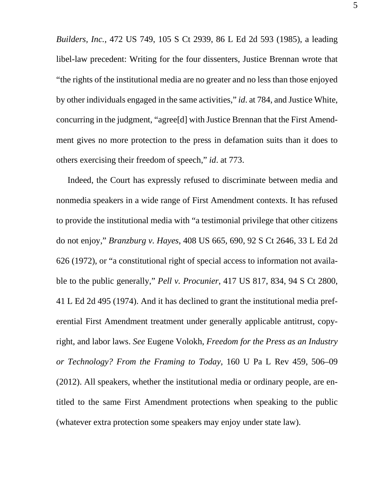*Builders, Inc.*, 472 US 749, 105 S Ct 2939, 86 L Ed 2d 593 (1985), a leading libel-law precedent: Writing for the four dissenters, Justice Brennan wrote that "the rights of the institutional media are no greater and no less than those enjoyed by other individuals engaged in the same activities," *id*. at 784, and Justice White, concurring in the judgment, "agree[d] with Justice Brennan that the First Amendment gives no more protection to the press in defamation suits than it does to others exercising their freedom of speech," *id*. at 773.

Indeed, the Court has expressly refused to discriminate between media and nonmedia speakers in a wide range of First Amendment contexts. It has refused to provide the institutional media with "a testimonial privilege that other citizens do not enjoy," *Branzburg v. Hayes*, 408 US 665, 690, 92 S Ct 2646, 33 L Ed 2d 626 (1972), or "a constitutional right of special access to information not available to the public generally," *Pell v. Procunier*, 417 US 817, 834, 94 S Ct 2800, 41 L Ed 2d 495 (1974). And it has declined to grant the institutional media preferential First Amendment treatment under generally applicable antitrust, copyright, and labor laws. *See* Eugene Volokh, *Freedom for the Press as an Industry or Technology? From the Framing to Today*, 160 U Pa L Rev 459, 506–09 (2012). All speakers, whether the institutional media or ordinary people, are entitled to the same First Amendment protections when speaking to the public (whatever extra protection some speakers may enjoy under state law).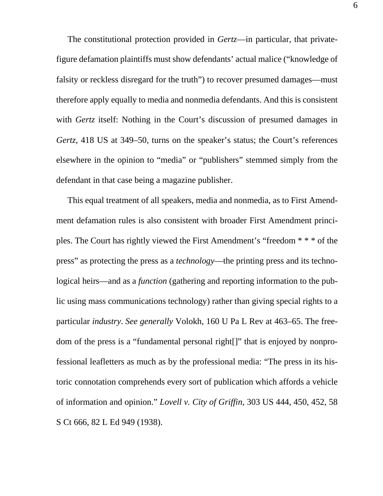The constitutional protection provided in *Gertz*—in particular, that privatefigure defamation plaintiffs must show defendants' actual malice ("knowledge of falsity or reckless disregard for the truth") to recover presumed damages—must therefore apply equally to media and nonmedia defendants. And this is consistent with *Gertz* itself: Nothing in the Court's discussion of presumed damages in *Gertz*, 418 US at 349–50, turns on the speaker's status; the Court's references elsewhere in the opinion to "media" or "publishers" stemmed simply from the defendant in that case being a magazine publisher.

This equal treatment of all speakers, media and nonmedia, as to First Amendment defamation rules is also consistent with broader First Amendment principles. The Court has rightly viewed the First Amendment's "freedom \* \* \* of the press" as protecting the press as a *technology*—the printing press and its technological heirs—and as a *function* (gathering and reporting information to the public using mass communications technology) rather than giving special rights to a particular *industry*. *See generally* Volokh, 160 U Pa L Rev at 463–65. The freedom of the press is a "fundamental personal right[]" that is enjoyed by nonprofessional leafletters as much as by the professional media: "The press in its historic connotation comprehends every sort of publication which affords a vehicle of information and opinion." *Lovell v. City of Griffin*, 303 US 444, 450, 452, 58 S Ct 666, 82 L Ed 949 (1938).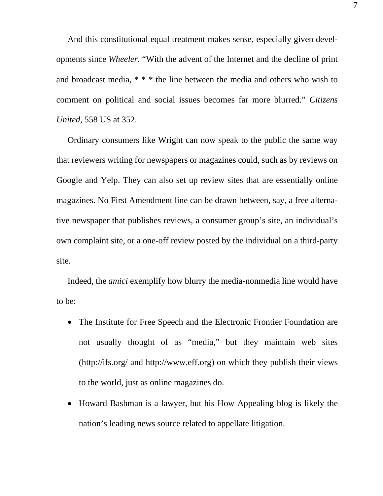And this constitutional equal treatment makes sense, especially given developments since *Wheeler*. "With the advent of the Internet and the decline of print and broadcast media, \* \* \* the line between the media and others who wish to comment on political and social issues becomes far more blurred." *Citizens United*, 558 US at 352.

Ordinary consumers like Wright can now speak to the public the same way that reviewers writing for newspapers or magazines could, such as by reviews on Google and Yelp. They can also set up review sites that are essentially online magazines. No First Amendment line can be drawn between, say, a free alternative newspaper that publishes reviews, a consumer group's site, an individual's own complaint site, or a one-off review posted by the individual on a third-party site.

Indeed, the *amici* exemplify how blurry the media-nonmedia line would have to be:

- The Institute for Free Speech and the Electronic Frontier Foundation are not usually thought of as "media," but they maintain web sites (http://ifs.org/ and http://www.eff.org) on which they publish their views to the world, just as online magazines do.
- Howard Bashman is a lawyer, but his How Appealing blog is likely the nation's leading news source related to appellate litigation.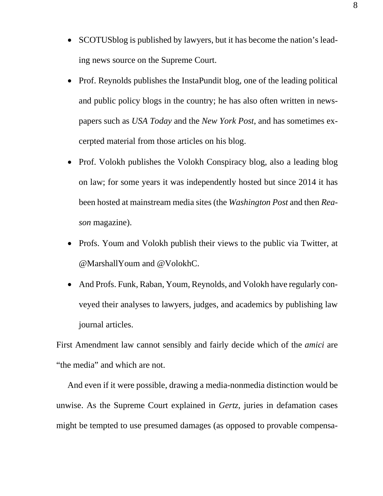- SCOTUSblog is published by lawyers, but it has become the nation's leading news source on the Supreme Court.
- Prof. Reynolds publishes the InstaPundit blog, one of the leading political and public policy blogs in the country; he has also often written in newspapers such as *USA Today* and the *New York Post*, and has sometimes excerpted material from those articles on his blog.
- Prof. Volokh publishes the Volokh Conspiracy blog, also a leading blog on law; for some years it was independently hosted but since 2014 it has been hosted at mainstream media sites (the *Washington Post* and then *Reason* magazine).
- Profs. Youm and Volokh publish their views to the public via Twitter, at @MarshallYoum and @VolokhC.
- And Profs. Funk, Raban, Youm, Reynolds, and Volokh have regularly conveyed their analyses to lawyers, judges, and academics by publishing law journal articles.

First Amendment law cannot sensibly and fairly decide which of the *amici* are "the media" and which are not.

And even if it were possible, drawing a media-nonmedia distinction would be unwise. As the Supreme Court explained in *Gertz*, juries in defamation cases might be tempted to use presumed damages (as opposed to provable compensa-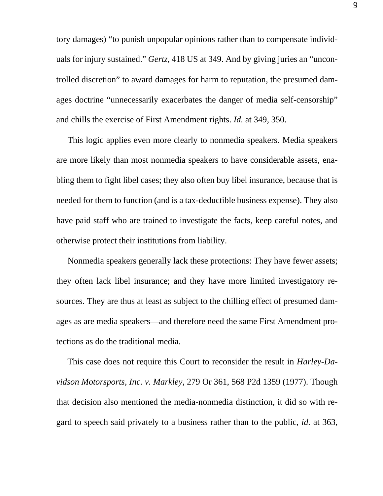tory damages) "to punish unpopular opinions rather than to compensate individuals for injury sustained." *Gertz*, 418 US at 349. And by giving juries an "uncontrolled discretion" to award damages for harm to reputation, the presumed damages doctrine "unnecessarily exacerbates the danger of media self-censorship" and chills the exercise of First Amendment rights. *Id.* at 349, 350.

This logic applies even more clearly to nonmedia speakers. Media speakers are more likely than most nonmedia speakers to have considerable assets, enabling them to fight libel cases; they also often buy libel insurance, because that is needed for them to function (and is a tax-deductible business expense). They also have paid staff who are trained to investigate the facts, keep careful notes, and otherwise protect their institutions from liability.

Nonmedia speakers generally lack these protections: They have fewer assets; they often lack libel insurance; and they have more limited investigatory resources. They are thus at least as subject to the chilling effect of presumed damages as are media speakers—and therefore need the same First Amendment protections as do the traditional media.

This case does not require this Court to reconsider the result in *Harley-Davidson Motorsports, Inc. v. Markley*, 279 Or 361, 568 P2d 1359 (1977). Though that decision also mentioned the media-nonmedia distinction, it did so with regard to speech said privately to a business rather than to the public, *id.* at 363,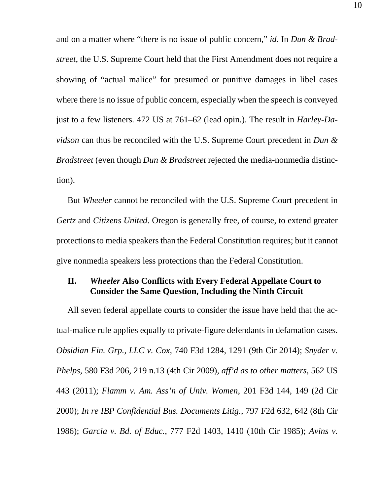and on a matter where "there is no issue of public concern," *id.* In *Dun & Bradstreet*, the U.S. Supreme Court held that the First Amendment does not require a showing of "actual malice" for presumed or punitive damages in libel cases where there is no issue of public concern, especially when the speech is conveyed just to a few listeners. 472 US at 761–62 (lead opin.). The result in *Harley-Davidson* can thus be reconciled with the U.S. Supreme Court precedent in *Dun & Bradstreet* (even though *Dun & Bradstreet* rejected the media-nonmedia distinction).

But *Wheeler* cannot be reconciled with the U.S. Supreme Court precedent in *Gertz* and *Citizens United*. Oregon is generally free, of course, to extend greater protections to media speakers than the Federal Constitution requires; but it cannot give nonmedia speakers less protections than the Federal Constitution.

### **II.** *Wheeler* **Also Conflicts with Every Federal Appellate Court to Consider the Same Question, Including the Ninth Circuit**

All seven federal appellate courts to consider the issue have held that the actual-malice rule applies equally to private-figure defendants in defamation cases. *Obsidian Fin. Grp., LLC v. Cox*, 740 F3d 1284, 1291 (9th Cir 2014); *Snyder v. Phelps*, 580 F3d 206, 219 n.13 (4th Cir 2009), *aff'd as to other matters*, 562 US 443 (2011); *Flamm v. Am. Ass'n of Univ. Women*, 201 F3d 144, 149 (2d Cir 2000); *In re IBP Confidential Bus. Documents Litig.*, 797 F2d 632, 642 (8th Cir 1986); *Garcia v. Bd. of Educ.*, 777 F2d 1403, 1410 (10th Cir 1985); *Avins v.*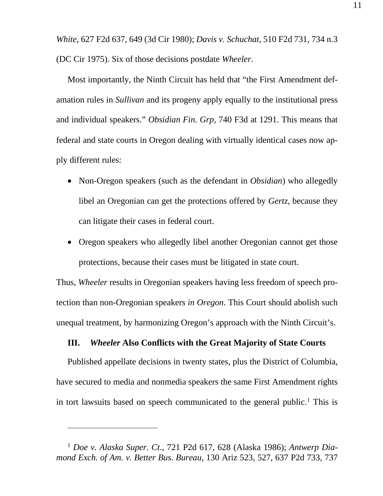*White*, 627 F2d 637, 649 (3d Cir 1980); *Davis v. Schuchat*, 510 F2d 731, 734 n.3 (DC Cir 1975). Six of those decisions postdate *Wheeler*.

Most importantly, the Ninth Circuit has held that "the First Amendment defamation rules in *Sullivan* and its progeny apply equally to the institutional press and individual speakers." *Obsidian Fin. Grp*, 740 F3d at 1291. This means that federal and state courts in Oregon dealing with virtually identical cases now apply different rules:

- Non-Oregon speakers (such as the defendant in *Obsidian*) who allegedly libel an Oregonian can get the protections offered by *Gertz*, because they can litigate their cases in federal court.
- Oregon speakers who allegedly libel another Oregonian cannot get those protections, because their cases must be litigated in state court.

Thus, *Wheeler* results in Oregonian speakers having less freedom of speech protection than non-Oregonian speakers *in Oregon*. This Court should abolish such unequal treatment, by harmonizing Oregon's approach with the Ninth Circuit's.

#### **III.** *Wheeler* **Also Conflicts with the Great Majority of State Courts**

Published appellate decisions in twenty states, plus the District of Columbia, have secured to media and nonmedia speakers the same First Amendment rights in tort lawsuits based on speech communicated to the general public. <sup>1</sup> This is

<sup>1</sup> *Doe v. Alaska Super. Ct.*, 721 P2d 617, 628 (Alaska 1986); *Antwerp Diamond Exch. of Am. v. Better Bus. Bureau*, 130 Ariz 523, 527, 637 P2d 733, 737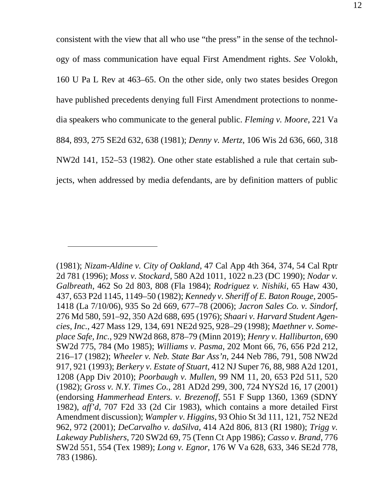consistent with the view that all who use "the press" in the sense of the technology of mass communication have equal First Amendment rights. *See* Volokh, 160 U Pa L Rev at 463–65. On the other side, only two states besides Oregon have published precedents denying full First Amendment protections to nonmedia speakers who communicate to the general public. *Fleming v. Moore*, 221 Va 884, 893, 275 SE2d 632, 638 (1981); *Denny v. Mertz*, 106 Wis 2d 636, 660, 318 NW2d 141, 152–53 (1982). One other state established a rule that certain subjects, when addressed by media defendants, are by definition matters of public

<sup>(1981);</sup> *Nizam-Aldine v. City of Oakland*, 47 Cal App 4th 364, 374, 54 Cal Rptr 2d 781 (1996); *Moss v. Stockard*, 580 A2d 1011, 1022 n.23 (DC 1990); *Nodar v. Galbreath*, 462 So 2d 803, 808 (Fla 1984); *Rodriguez v. Nishiki*, 65 Haw 430, 437, 653 P2d 1145, 1149–50 (1982); *Kennedy v. Sheriff of E. Baton Rouge*, 2005- 1418 (La 7/10/06), 935 So 2d 669, 677–78 (2006); *Jacron Sales Co. v. Sindorf*, 276 Md 580, 591–92, 350 A2d 688, 695 (1976); *Shaari v. Harvard Student Agencies, Inc.*, 427 Mass 129, 134, 691 NE2d 925, 928–29 (1998); *Maethner v. Someplace Safe, Inc.*, 929 NW2d 868, 878–79 (Minn 2019); *Henry v. Halliburton*, 690 SW2d 775, 784 (Mo 1985); *Williams v. Pasma*, 202 Mont 66, 76, 656 P2d 212, 216–17 (1982); *Wheeler v. Neb. State Bar Ass'n*, 244 Neb 786, 791, 508 NW2d 917, 921 (1993); *Berkery v. Estate of Stuart*, 412 NJ Super 76, 88, 988 A2d 1201, 1208 (App Div 2010); *Poorbaugh v. Mullen*, 99 NM 11, 20, 653 P2d 511, 520 (1982); *Gross v. N.Y. Times Co.*, 281 AD2d 299, 300, 724 NYS2d 16, 17 (2001) (endorsing *Hammerhead Enters. v. Brezenoff*, 551 F Supp 1360, 1369 (SDNY 1982), *aff'd*, 707 F2d 33 (2d Cir 1983), which contains a more detailed First Amendment discussion); *Wampler v. Higgins*, 93 Ohio St 3d 111, 121, 752 NE2d 962, 972 (2001); *DeCarvalho v. daSilva*, 414 A2d 806, 813 (RI 1980); *Trigg v. Lakeway Publishers*, 720 SW2d 69, 75 (Tenn Ct App 1986); *Casso v. Brand*, 776 SW2d 551, 554 (Tex 1989); *Long v. Egnor*, 176 W Va 628, 633, 346 SE2d 778, 783 (1986).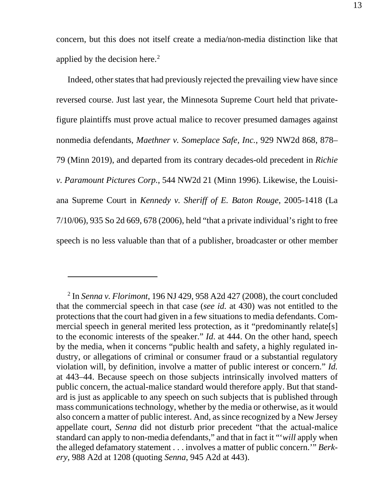concern, but this does not itself create a media/non-media distinction like that applied by the decision here. 2

Indeed, other states that had previously rejected the prevailing view have since reversed course. Just last year, the Minnesota Supreme Court held that privatefigure plaintiffs must prove actual malice to recover presumed damages against nonmedia defendants, *Maethner v. Someplace Safe, Inc.*, 929 NW2d 868, 878– 79 (Minn 2019), and departed from its contrary decades-old precedent in *Richie v. Paramount Pictures Corp.*, 544 NW2d 21 (Minn 1996). Likewise, the Louisiana Supreme Court in *Kennedy v. Sheriff of E. Baton Rouge*, 2005-1418 (La 7/10/06), 935 So 2d 669, 678 (2006), held "that a private individual's right to free speech is no less valuable than that of a publisher, broadcaster or other member

<sup>2</sup> In *Senna v. Florimont*, 196 NJ 429, 958 A2d 427 (2008), the court concluded that the commercial speech in that case (*see id.* at 430) was not entitled to the protections that the court had given in a few situations to media defendants. Commercial speech in general merited less protection, as it "predominantly relate[s] to the economic interests of the speaker." *Id*. at 444. On the other hand, speech by the media, when it concerns "public health and safety, a highly regulated industry, or allegations of criminal or consumer fraud or a substantial regulatory violation will, by definition, involve a matter of public interest or concern." *Id.*  at 443–44. Because speech on those subjects intrinsically involved matters of public concern, the actual-malice standard would therefore apply. But that standard is just as applicable to any speech on such subjects that is published through mass communications technology, whether by the media or otherwise, as it would also concern a matter of public interest. And, as since recognized by a New Jersey appellate court, *Senna* did not disturb prior precedent "that the actual-malice standard can apply to non-media defendants," and that in fact it "'*will* apply when the alleged defamatory statement . . . involves a matter of public concern.'" *Berkery*, 988 A2d at 1208 (quoting *Senna*, 945 A2d at 443).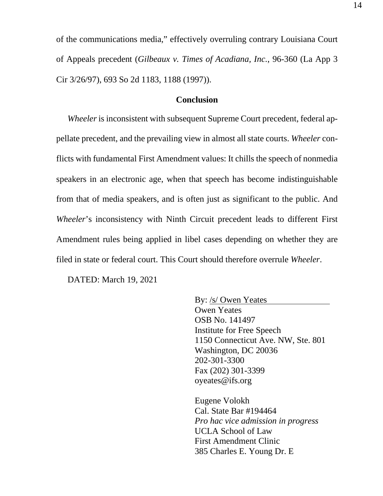of the communications media," effectively overruling contrary Louisiana Court of Appeals precedent (*Gilbeaux v. Times of Acadiana, Inc.*, 96-360 (La App 3 Cir 3/26/97), 693 So 2d 1183, 1188 (1997)).

#### **Conclusion**

*Wheeler* is inconsistent with subsequent Supreme Court precedent, federal appellate precedent, and the prevailing view in almost all state courts. *Wheeler* conflicts with fundamental First Amendment values: It chills the speech of nonmedia speakers in an electronic age, when that speech has become indistinguishable from that of media speakers, and is often just as significant to the public. And *Wheeler*'s inconsistency with Ninth Circuit precedent leads to different First Amendment rules being applied in libel cases depending on whether they are filed in state or federal court. This Court should therefore overrule *Wheeler*.

DATED: March 19, 2021

By: /s/ Owen Yeates Owen Yeates OSB No. 141497 Institute for Free Speech 1150 Connecticut Ave. NW, Ste. 801 Washington, DC 20036 202-301-3300 Fax (202) 301-3399 oyeates@ifs.org

Eugene Volokh Cal. State Bar #194464 *Pro hac vice admission in progress* UCLA School of Law First Amendment Clinic 385 Charles E. Young Dr. E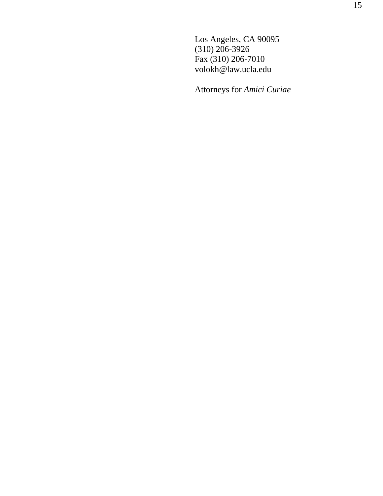Los Angeles, CA 90095 (310) 206-3926 Fax (310) 206-7010 volokh@law.ucla.edu

Attorneys for *Amici Curiae*